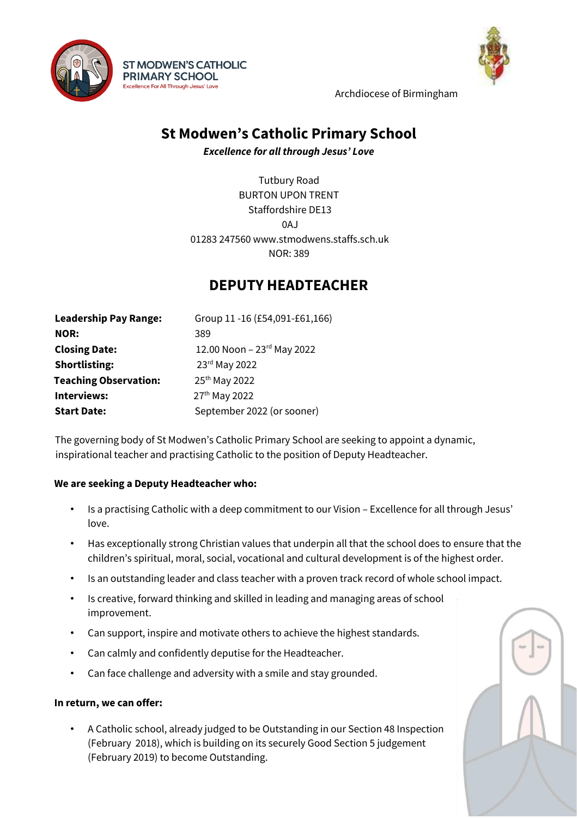



Archdiocese of Birmingham

# **St Modwen's Catholic Primary School**

*Excellence for all through Jesus' Love* 

Tutbury Road BURTON UPON TRENT Staffordshire DE13  $0A<sub>l</sub>$ 01283 247560 www.stmodwens.staffs.sch.uk NOR: 389

## **DEPUTY HEADTEACHER**

 **Leadership Pay Range:** Group 11 -16 (£54,091-£61,166) **NOR:** 389 **Closing Date:** 12.00 Noon – 23rd May 2022 **Shortlisting:** 23<sup>rd</sup> May 2022 **Teaching Observation:** 25<sup>th</sup> May 2022 **Interviews:** 27<sup>th</sup> May 2022 **Start Date:** September 2022 (or sooner)

**ST MODWEN'S CATHOLIC PRIMARY SCHOOL** Excellence For All Through Jesus' Love

The governing body of St Modwen's Catholic Primary School are seeking to appoint a dynamic, inspirational teacher and practising Catholic to the position of Deputy Headteacher.

#### **We are seeking a Deputy Headteacher who:**

- Is a practising Catholic with a deep commitment to our Vision Excellence for all through Jesus' love.
- Has exceptionally strong Christian values that underpin all that the school does to ensure that the children's spiritual, moral, social, vocational and cultural development is of the highest order.
- Is an outstanding leader and class teacher with a proven track record of whole school impact.
- Is creative, forward thinking and skilled in leading and managing areas of school improvement.
- Can support, inspire and motivate others to achieve the highest standards.
- Can calmly and confidently deputise for the Headteacher.
- Can face challenge and adversity with a smile and stay grounded.

#### **In return, we can offer:**

• A Catholic school, already judged to be Outstanding in our Section 48 Inspection (February 2018), which is building on its securely Good Section 5 judgement (February 2019) to become Outstanding.